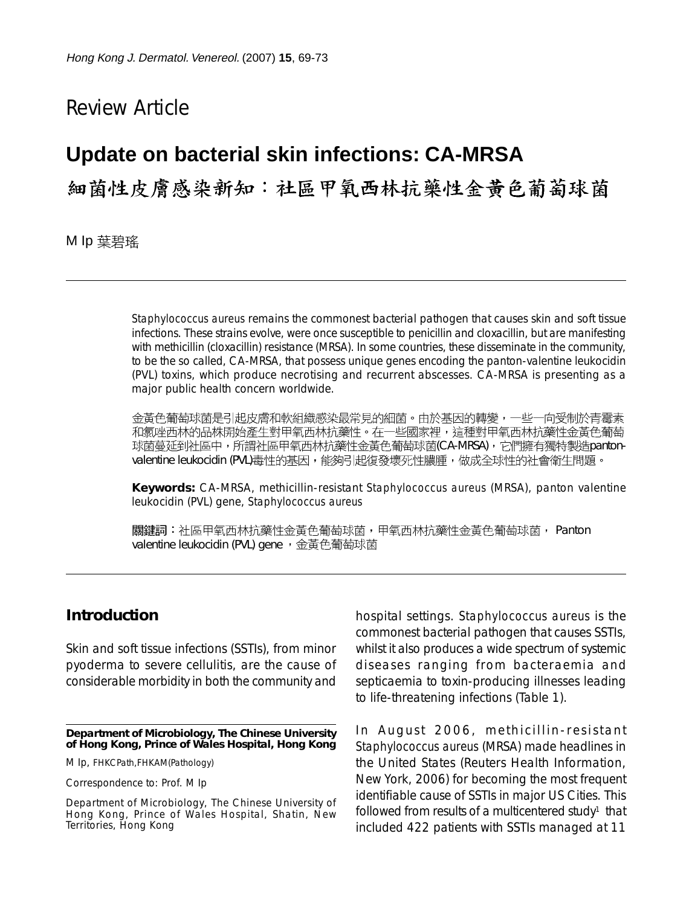# Review Article

## **Update on bacterial skin infections: CA-MRSA**

# 細菌性皮膚感染新知:社區甲氧西林抗藥性金黃色葡萄球菌

M Ip 葉碧瑤

*Staphylococcus aureus* remains the commonest bacterial pathogen that causes skin and soft tissue infections. These strains evolve, were once susceptible to penicillin and cloxacillin, but are manifesting with methicillin (cloxacillin) resistance (MRSA). In some countries, these disseminate in the community, to be the so called, CA-MRSA, that possess unique genes encoding the panton-valentine leukocidin (PVL) toxins, which produce necrotising and recurrent abscesses. CA-MRSA is presenting as a major public health concern worldwide.

金黃色葡萄球菌是引起皮膚和軟組織感染最常見的細菌。由於基因的轉變,一些一向受制於青霉素 和氯唑西林的品株開始產生對甲氧西林抗藥性。在一些國家裡,這種對甲氧西林抗藥性金黃色葡萄 球菌蔓延到社區中,所謂社區甲氧西林抗藥性金黃色葡萄球菌(CA-MRSA),它們擁有獨特製造pantonvalentine leukocidin (PVL)毒性的基因,能夠引起復發壞死性膿腫,做成全球性的社會衛生問題。

**Keywords:** CA-MRSA, methicillin-resistant *Staphylococcus aureus* (MRSA), panton valentine leukocidin (PVL) gene, *Staphylococcus aureus*

關鍵詞:社區甲氧西林抗藥性金黃色葡萄球菌,甲氧西林抗藥性金黃色葡萄球菌, Panton valentine leukocidin (PVL) gene, 金黃色葡萄球菌

### **Introduction**

Skin and soft tissue infections (SSTIs), from minor pyoderma to severe cellulitis, are the cause of considerable morbidity in both the community and

**Department of Microbiology, The Chinese University of Hong Kong, Prince of Wales Hospital, Hong Kong**

M Ip, FHKCPath,FHKAM(Pathology)

Correspondence to: Prof. M Ip

Department of Microbiology, The Chinese University of Hong Kong, Prince of Wales Hospital, Shatin, New Territories, Hong Kong

hospital settings. *Staphylococcus aureus* is the commonest bacterial pathogen that causes SSTIs, whilst it also produces a wide spectrum of systemic diseases ranging from bacteraemia and septicaemia to toxin-producing illnesses leading to life-threatening infections (Table 1).

In August 2006, methicillin-resistant *Staphylococcus aureus* (MRSA) made headlines in the United States (Reuters Health Information, New York, 2006) for becoming the most frequent identifiable cause of SSTIs in major US Cities. This followed from results of a multicentered study<sup>1</sup> that included 422 patients with SSTIs managed at 11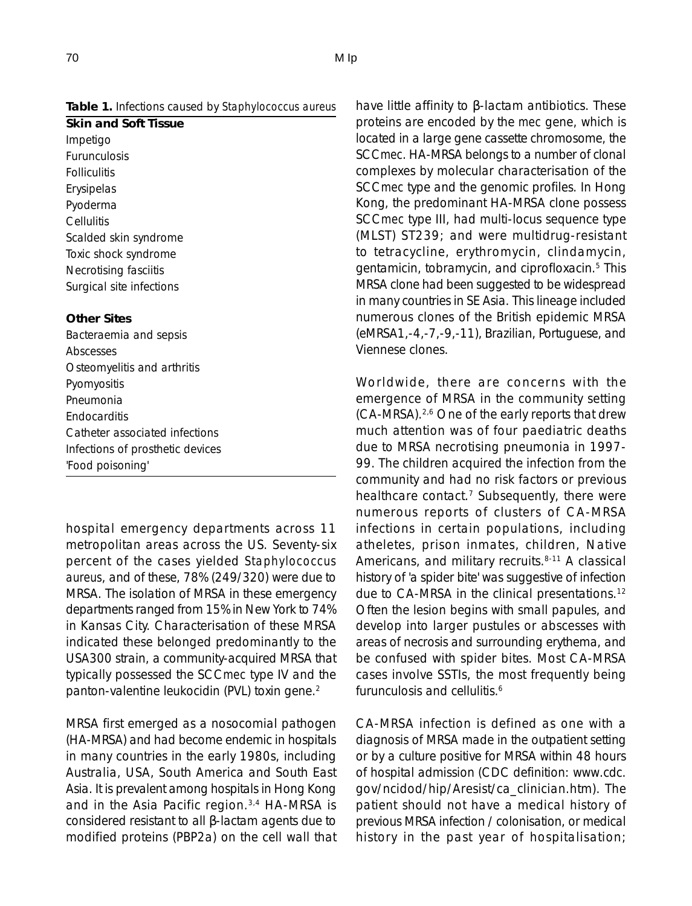#### **Table 1.** Infections caused by *Staphylococcus aureus*

**Skin and Soft Tissue** Impetigo Furunculosis Folliculitis Erysipelas Pyoderma **Cellulitis** Scalded skin syndrome Toxic shock syndrome Necrotising fasciitis Surgical site infections

#### **Other Sites**

Bacteraemia and sepsis Abscesses Osteomyelitis and arthritis Pyomyositis Pneumonia **Endocarditis** Catheter associated infections Infections of prosthetic devices 'Food poisoning'

hospital emergency departments across 11 metropolitan areas across the US. Seventy-six percent of the cases yielded *Staphylococcus aureus*, and of these, 78% (249/320) were due to MRSA. The isolation of MRSA in these emergency departments ranged from 15% in New York to 74% in Kansas City. Characterisation of these MRSA indicated these belonged predominantly to the USA300 strain, a community-acquired MRSA that typically possessed the SCC*mec* type IV and the panton-valentine leukocidin (PVL) toxin gene.2

MRSA first emerged as a nosocomial pathogen (HA-MRSA) and had become endemic in hospitals in many countries in the early 1980s, including Australia, USA, South America and South East Asia. It is prevalent among hospitals in Hong Kong and in the Asia Pacific region.<sup>3,4</sup> HA-MRSA is considered resistant to all β-lactam agents due to modified proteins (PBP2a) on the cell wall that have little affinity to β-lactam antibiotics. These proteins are encoded by the *mec* gene, which is located in a large gene cassette chromosome, the SCC*mec*. HA-MRSA belongs to a number of clonal complexes by molecular characterisation of the SCC*mec* type and the genomic profiles. In Hong Kong, the predominant HA-MRSA clone possess SCC*mec* type III, had multi-locus sequence type (MLST) ST239; and were multidrug-resistant to tetracycline, erythromycin, clindamycin, gentamicin, tobramycin, and ciprofloxacin.5 This MRSA clone had been suggested to be widespread in many countries in SE Asia. This lineage included numerous clones of the British epidemic MRSA (eMRSA1,-4,-7,-9,-11), Brazilian, Portuguese, and Viennese clones.

Worldwide, there are concerns with the emergence of MRSA in the community setting (CA-MRSA).2,6 One of the early reports that drew much attention was of four paediatric deaths due to MRSA necrotising pneumonia in 1997- 99. The children acquired the infection from the community and had no risk factors or previous healthcare contact.<sup>7</sup> Subsequently, there were numerous reports of clusters of CA-MRSA infections in certain populations, including atheletes, prison inmates, children, Native Americans, and military recruits.<sup>8-11</sup> A classical history of 'a spider bite' was suggestive of infection due to CA-MRSA in the clinical presentations.12 Often the lesion begins with small papules, and develop into larger pustules or abscesses with areas of necrosis and surrounding erythema, and be confused with spider bites. Most CA-MRSA cases involve SSTIs, the most frequently being furunculosis and cellulitis.<sup>6</sup>

CA-MRSA infection is defined as one with a diagnosis of MRSA made in the outpatient setting or by a culture positive for MRSA within 48 hours of hospital admission (CDC definition: www.cdc. gov/ncidod/hip/Aresist/ca\_clinician.htm). The patient should not have a medical history of previous MRSA infection / colonisation, or medical history in the past year of hospitalisation;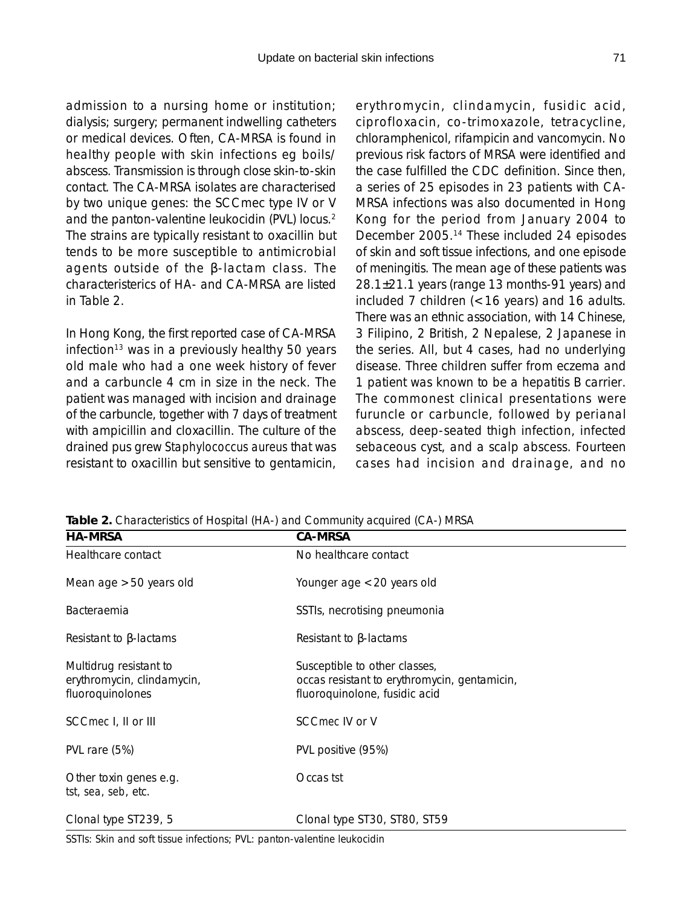admission to a nursing home or institution; dialysis; surgery; permanent indwelling catheters or medical devices. Often, CA-MRSA is found in healthy people with skin infections eg boils/ abscess. Transmission is through close skin-to-skin contact. The CA-MRSA isolates are characterised by two unique genes: the SCCmec type IV or V and the panton-valentine leukocidin (PVL) locus.<sup>2</sup> The strains are typically resistant to oxacillin but tends to be more susceptible to antimicrobial agents outside of the β-lactam class. The characteristerics of HA- and CA-MRSA are listed in Table 2.

In Hong Kong, the first reported case of CA-MRSA infection<sup>13</sup> was in a previously healthy 50 years old male who had a one week history of fever and a carbuncle 4 cm in size in the neck. The patient was managed with incision and drainage of the carbuncle, together with 7 days of treatment with ampicillin and cloxacillin. The culture of the drained pus grew *Staphylococcus aureus* that was resistant to oxacillin but sensitive to gentamicin,

erythromycin, clindamycin, fusidic acid, ciprofloxacin, co-trimoxazole, tetracycline, chloramphenicol, rifampicin and vancomycin. No previous risk factors of MRSA were identified and the case fulfilled the CDC definition. Since then, a series of 25 episodes in 23 patients with CA-MRSA infections was also documented in Hong Kong for the period from January 2004 to December 2005.14 These included 24 episodes of skin and soft tissue infections, and one episode of meningitis. The mean age of these patients was 28.1±21.1 years (range 13 months-91 years) and included 7 children (<16 years) and 16 adults. There was an ethnic association, with 14 Chinese, 3 Filipino, 2 British, 2 Nepalese, 2 Japanese in the series. All, but 4 cases, had no underlying disease. Three children suffer from eczema and 1 patient was known to be a hepatitis B carrier. The commonest clinical presentations were furuncle or carbuncle, followed by perianal abscess, deep-seated thigh infection, infected sebaceous cyst, and a scalp abscess. Fourteen cases had incision and drainage, and no

| <b>HA-MRSA</b>                                                           | <b>CA-MRSA</b>                                                                                                 |  |
|--------------------------------------------------------------------------|----------------------------------------------------------------------------------------------------------------|--|
| Healthcare contact                                                       | No healthcare contact                                                                                          |  |
| Mean age $>50$ years old                                                 | Younger age $<$ 20 years old                                                                                   |  |
| Bacteraemia                                                              | SSTIs, necrotising pneumonia                                                                                   |  |
| Resistant to $\beta$ -lactams                                            | Resistant to $\beta$ -lactams                                                                                  |  |
| Multidrug resistant to<br>erythromycin, clindamycin,<br>fluoroquinolones | Susceptible to other classes,<br>occas resistant to erythromycin, gentamicin,<br>fluoroquinolone, fusidic acid |  |
| SCCmec I, II or III                                                      | SCC mec IV or V                                                                                                |  |
| PVL rare (5%)                                                            | PVL positive (95%)                                                                                             |  |
| Other toxin genes e.g.<br><i>tst, sea, seb, etc.</i>                     | Occas tst                                                                                                      |  |
| Clonal type ST239, 5                                                     | Clonal type ST30, ST80, ST59                                                                                   |  |

**Table 2.** Characteristics of Hospital (HA-) and Community acquired (CA-) MRSA

SSTIs: Skin and soft tissue infections; PVL: panton-valentine leukocidin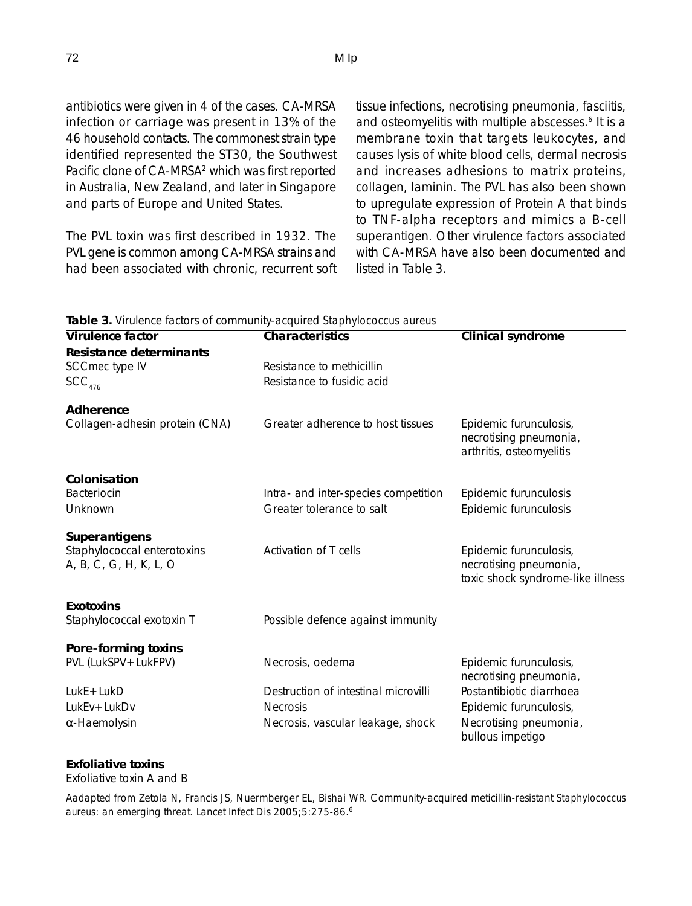antibiotics were given in 4 of the cases. CA-MRSA infection or carriage was present in 13% of the 46 household contacts. The commonest strain type identified represented the ST30, the Southwest Pacific clone of CA-MRSA<sup>2</sup> which was first reported in Australia, New Zealand, and later in Singapore and parts of Europe and United States.

The PVL toxin was first described in 1932. The PVL gene is common among CA-MRSA strains and had been associated with chronic, recurrent soft tissue infections, necrotising pneumonia, fasciitis, and osteomyelitis with multiple abscesses.<sup>6</sup> It is a membrane toxin that targets leukocytes, and causes lysis of white blood cells, dermal necrosis and increases adhesions to matrix proteins, collagen, laminin. The PVL has also been shown to upregulate expression of Protein A that binds to TNF-alpha receptors and mimics a B-cell superantigen. Other virulence factors associated with CA-MRSA have also been documented and listed in Table 3.

**Table 3.** Virulence factors of community-acquired *Staphylococcus aureus*

| <b>Virulence factor</b>                               | Characteristics                      | <b>Clinical syndrome</b>                                                              |
|-------------------------------------------------------|--------------------------------------|---------------------------------------------------------------------------------------|
| Resistance determinants                               |                                      |                                                                                       |
| SCC mec type IV                                       | Resistance to methicillin            |                                                                                       |
| SCC <sub>476</sub>                                    | Resistance to fusidic acid           |                                                                                       |
| Adherence                                             |                                      |                                                                                       |
| Collagen-adhesin protein (CNA)                        | Greater adherence to host tissues    | Epidemic furunculosis,<br>necrotising pneumonia,<br>arthritis, osteomyelitis          |
| Colonisation                                          |                                      |                                                                                       |
| <b>Bacteriocin</b>                                    | Intra- and inter-species competition | Epidemic furunculosis                                                                 |
| Unknown                                               | Greater tolerance to salt            | Epidemic furunculosis                                                                 |
| Superantigens                                         |                                      |                                                                                       |
| Staphylococcal enterotoxins<br>A, B, C, G, H, K, L, O | Activation of T cells                | Epidemic furunculosis,<br>necrotising pneumonia,<br>toxic shock syndrome-like illness |
| <b>Exotoxins</b>                                      |                                      |                                                                                       |
| Staphylococcal exotoxin T                             | Possible defence against immunity    |                                                                                       |
| Pore-forming toxins                                   |                                      |                                                                                       |
| PVL (LukSPV + LukFPV)                                 | Necrosis, oedema                     | Epidemic furunculosis,<br>necrotising pneumonia,                                      |
| $LukE+LukD$                                           | Destruction of intestinal microvilli | Postantibiotic diarrhoea                                                              |
| LukEv+LukDv                                           | <b>Necrosis</b>                      | Epidemic furunculosis,                                                                |
| $\alpha$ -Haemolysin                                  | Necrosis, vascular leakage, shock    | Necrotising pneumonia,<br>bullous impetigo                                            |

#### **Exfoliative toxins**

Exfoliative toxin A and B

Aadapted from Zetola N, Francis JS, Nuermberger EL, Bishai WR. Community-acquired meticillin-resistant *Staphylococcus aureus*: an emerging threat. Lancet Infect Dis 2005;5:275-86.6